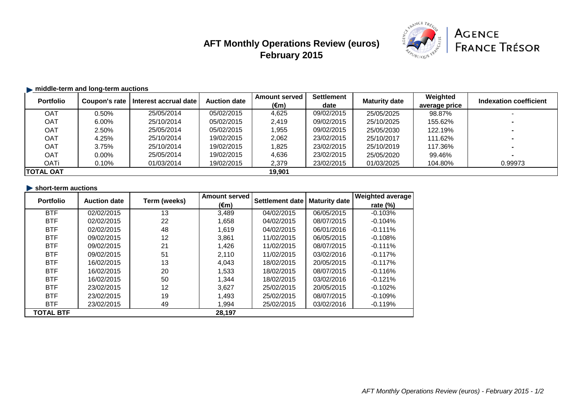# **AFT Monthly Operations Review (euros) February 2015**



### **middle-term and long-term auctions**

| <b>Portfolio</b> | Coupon's rate | Interest accrual date | <b>Auction date</b> | <b>Amount served</b> | <b>Settlement</b> | <b>Maturity date</b> | Weighted      | Indexation coefficient |
|------------------|---------------|-----------------------|---------------------|----------------------|-------------------|----------------------|---------------|------------------------|
|                  |               |                       |                     | $(\epsilon m)$       | date              |                      | average price |                        |
| <b>OAT</b>       | $0.50\%$      | 25/05/2014            | 05/02/2015          | 4,625                | 09/02/2015        | 25/05/2025           | 98.87%        |                        |
| <b>OAT</b>       | 6.00%         | 25/10/2014            | 05/02/2015          | 2,419                | 09/02/2015        | 25/10/2025           | 155.62%       |                        |
| <b>OAT</b>       | 2.50%         | 25/05/2014            | 05/02/2015          | 1,955                | 09/02/2015        | 25/05/2030           | 122.19%       |                        |
| <b>OAT</b>       | 4.25%         | 25/10/2014            | 19/02/2015          | 2,062                | 23/02/2015        | 25/10/2017           | 111.62%       |                        |
| <b>OAT</b>       | 3.75%         | 25/10/2014            | 19/02/2015          | 1,825                | 23/02/2015        | 25/10/2019           | 117.36%       |                        |
| <b>OAT</b>       | $0.00\%$      | 25/05/2014            | 19/02/2015          | 4,636                | 23/02/2015        | 25/05/2020           | 99.46%        | $\blacksquare$         |
| <b>OATi</b>      | $0.10\%$      | 01/03/2014            | 19/02/2015          | 2,379                | 23/02/2015        | 01/03/2025           | 104.80%       | 0.99973                |
| <b>TOTAL OAT</b> |               |                       |                     | 19,901               |                   |                      |               |                        |

| $\blacktriangleright$ short-term auctions |  |
|-------------------------------------------|--|
|                                           |  |

| <b>Portfolio</b> | <b>Auction date</b> | Term (weeks) | <b>Amount served</b> | Settlement date | <b>Maturity date</b> | <b>Weighted average</b> |
|------------------|---------------------|--------------|----------------------|-----------------|----------------------|-------------------------|
|                  |                     |              | $(\epsilon m)$       |                 |                      | rate $(\%)$             |
| <b>BTF</b>       | 02/02/2015          | 13           | 3,489                | 04/02/2015      | 06/05/2015           | $-0.103%$               |
| <b>BTF</b>       | 02/02/2015          | 22           | 1,658                | 04/02/2015      | 08/07/2015           | $-0.104%$               |
| <b>BTF</b>       | 02/02/2015          | 48           | 1,619                | 04/02/2015      | 06/01/2016           | $-0.111\%$              |
| <b>BTF</b>       | 09/02/2015          | 12           | 3,861                | 11/02/2015      | 06/05/2015           | $-0.108%$               |
| <b>BTF</b>       | 09/02/2015          | 21           | 1,426                | 11/02/2015      | 08/07/2015           | $-0.111\%$              |
| <b>BTF</b>       | 09/02/2015          | 51           | 2,110                | 11/02/2015      | 03/02/2016           | $-0.117%$               |
| <b>BTF</b>       | 16/02/2015          | 13           | 4,043                | 18/02/2015      | 20/05/2015           | $-0.117%$               |
| <b>BTF</b>       | 16/02/2015          | 20           | 1,533                | 18/02/2015      | 08/07/2015           | $-0.116%$               |
| <b>BTF</b>       | 16/02/2015          | 50           | 1,344                | 18/02/2015      | 03/02/2016           | $-0.121%$               |
| <b>BTF</b>       | 23/02/2015          | 12           | 3,627                | 25/02/2015      | 20/05/2015           | $-0.102%$               |
| <b>BTF</b>       | 23/02/2015          | 19           | 1,493                | 25/02/2015      | 08/07/2015           | $-0.109%$               |
| <b>BTF</b>       | 23/02/2015          | 49           | 1,994                | 25/02/2015      | 03/02/2016           | $-0.119%$               |
| <b>TOTAL BTF</b> |                     |              | 28,197               |                 |                      |                         |